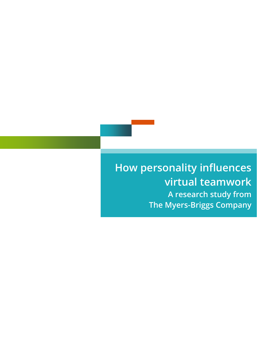**How personality influences virtual teamwork A research study from The Myers-Briggs Company**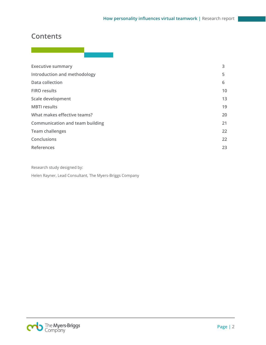## **Contents**

| <b>Executive summary</b>               | 3  |
|----------------------------------------|----|
| Introduction and methodology           | 5  |
| Data collection                        | 6  |
| <b>FIRO</b> results                    | 10 |
| Scale development                      | 13 |
| <b>MBTI</b> results                    | 19 |
| What makes effective teams?            | 20 |
| <b>Communication and team building</b> | 21 |
| <b>Team challenges</b>                 | 22 |
| Conclusions                            | 22 |
| References                             | 23 |
|                                        |    |

Research study designed by:

Helen Rayner, Lead Consultant, The Myers-Briggs Company

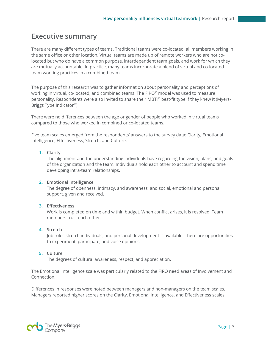### <span id="page-2-0"></span>**Executive summary**

There are many different types of teams. Traditional teams were co-located, all members working in the same office or other location. Virtual teams are made up of remote workers who are not colocated but who do have a common purpose, interdependent team goals, and work for which they are mutually accountable. In practice, many teams incorporate a blend of virtual and co-located team working practices in a combined team.

The purpose of this research was to gather information about personality and perceptions of working in virtual, co-located, and combined teams. The FIRO® model was used to measure personality. Respondents were also invited to share their MBTI® best-fit type if they knew it (Myers-Briggs Type Indicator®).

There were no differences between the age or gender of people who worked in virtual teams compared to those who worked in combined or co-located teams.

Five team scales emerged from the respondents' answers to the survey data: Clarity; Emotional Intelligence; Effectiveness; Stretch; and Culture.

#### **1. Clarity**

The alignment and the understanding individuals have regarding the vision, plans, and goals of the organization and the team. Individuals hold each other to account and spend time developing intra-team relationships.

#### **2. Emotional Intelligence**

The degree of openness, intimacy, and awareness, and social, emotional and personal support, given and received.

#### **3. Effectiveness**

Work is completed on time and within budget. When conflict arises, it is resolved. Team members trust each other.

#### **4. Stretch**

Job roles stretch individuals, and personal development is available. There are opportunities to experiment, participate, and voice opinions.

#### **5. Culture**

The degrees of cultural awareness, respect, and appreciation.

The Emotional Intelligence scale was particularly related to the FIRO need areas of Involvement and Connection.

Differences in responses were noted between managers and non-managers on the team scales. Managers reported higher scores on the Clarity, Emotional Intelligence, and Effectiveness scales.

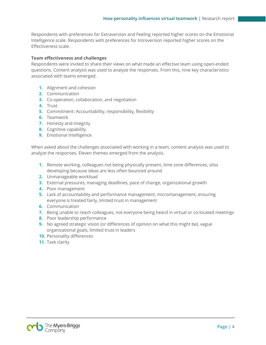Respondents with preferences for Extraversion and Feeling reported higher scores on the Emotional Intelligence scale. Respondents with preferences for Introversion reported higher scores on the Effectiveness scale.

#### **Team effectiveness and challenges**

Respondents were invited to share their views on what made an effective team using open-ended questions. Content analysis was used to analyze the responses. From this, nine key characteristics associated with teams emerged.

- **1.** Alignment and cohesion
- **2.** Communication
- **3.** Co-operation, collaboration, and negotiation
- **4.** Trust
- **5.** Commitment: Accountability, responsibility, flexibility
- **6.** Teamwork
- **7.** Honesty and integrity
- **8.** Cognitive capability
- **9.** Emotional Intelligence

When asked about the challenges associated with working in a team, content analysis was used to analyze the responses. Eleven themes emerged from the analysis.

- **1.** Remote working, colleagues not being physically present, time zone differences, silos developing because ideas are less often bounced around
- **2.** Unmanageable workload
- **3.** External pressures, managing deadlines, pace of change, organizational growth
- **4.** Poor management
- **5.** Lack of accountability and performance management, micromanagement, ensuring everyone is treated fairly, limited trust in management
- **6.** Communication
- **7.** Being unable to reach colleagues, not everyone being heard in virtual or co-located meetings
- **8.** Poor leadership performance
- **9.** No agreed strategic vision (or differences of opinion on what this might be), vague organizational goals, limited trust in leaders
- **10.** Personality differences
- **11.** Task clarity

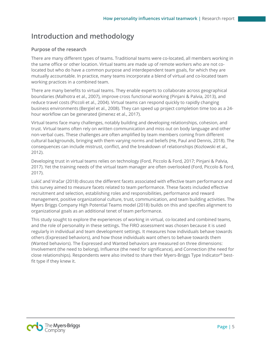## <span id="page-4-0"></span>**Introduction and methodology**

#### **Purpose of the research**

There are many different types of teams. Traditional teams were co-located, all members working in the same office or other location. Virtual teams are made up of remote workers who are not colocated but who do have a common purpose and interdependent team goals, for which they are mutually accountable. In practice, many teams incorporate a blend of virtual and co-located team working practices in a combined team.

There are many benefits to virtual teams. They enable experts to collaborate across geographical boundaries (Malhotra et al., 2007), improve cross functional working (Pinjani & Palvia, 2013), and reduce travel costs (Piccoli et al., 2004). Virtual teams can respond quickly to rapidly changing business environments (Bergiel et al., 2008). They can speed up project completion time too as a 24 hour workflow can be generated (Jimenez et al., 2017).

Virtual teams face many challenges, notably building and developing relationships, cohesion, and trust. Virtual teams often rely on written communication and miss out on body language and other non-verbal cues. These challenges are often amplified by team members coming from different cultural backgrounds, bringing with them varying norms and beliefs (He, Paul and Dennis, 2018). The consequences can include mistrust, conflict, and the breakdown of relationships (Kozlowski et al., 2012).

Developing trust in virtual teams relies on technology (Ford, Piccolo & Ford, 2017; Pinjani & Palvia, 2017). Yet the training needs of the virtual team manager are often overlooked (Ford, Piccolo & Ford, 2017).

Lukić and Vračar (2018) discuss the different facets associated with effective team performance and this survey aimed to measure facets related to team performance. These facets included effective recruitment and selection, establishing roles and responsibilities, performance and reward management, positive organizational culture, trust, communication, and team building activities. The Myers Briggs Company High Potential Teams model (2018) builds on this and specifies alignment to organizational goals as an additional tenet of team performance.

This study sought to explore the experiences of working in virtual, co-located and combined teams, and the role of personality in these settings. The FIRO assessment was chosen because it is used regularly in individual and team development settings. It measures how individuals behave towards others (Expressed behaviors), and how those individuals want others to behave towards them (Wanted behaviors). The Expressed and Wanted behaviors are measured on three dimensions: Involvement (the need to belong), Influence (the need for significance), and Connection (the need for close relationships). Respondents were also invited to share their Myers-Briggs Type Indicator® bestfit type if they knew it.

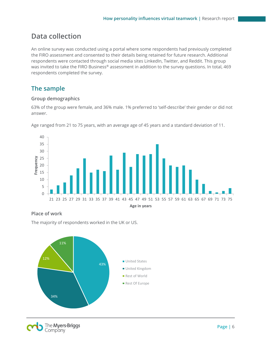## <span id="page-5-0"></span>**Data collection**

An online survey was conducted using a portal where some respondents had previously completed the FIRO assessment and consented to their details being retained for future research. Additional respondents were contacted through social media sites LinkedIn, Twitter, and Reddit. This group was invited to take the FIRO Business® assessment in addition to the survey questions. In total, 469 respondents completed the survey.

### **The sample**

#### **Group demographics**

63% of the group were female, and 36% male. 1% preferred to 'self-describe' their gender or did not answer.



Age ranged from 21 to 75 years, with an average age of 45 years and a standard deviation of 11.

### **Place of work**

The majority of respondents worked in the UK or US.



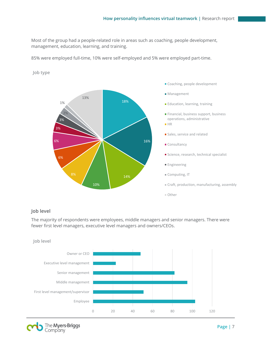Most of the group had a people-related role in areas such as coaching, people development, management, education, learning, and training.

85% were employed full-time, 10% were self-employed and 5% were employed part-time.

**Job type**



#### **Job level**

The majority of respondents were employees, middle managers and senior managers. There were fewer first level managers, executive level managers and owners/CEOs.



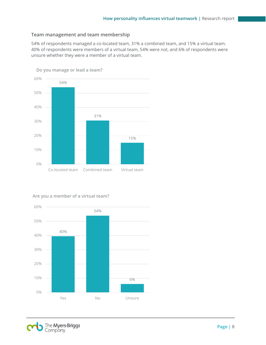#### **Team management and team membership**

54% of respondents managed a co-located team, 31% a combined team, and 15% a virtual team. 40% of respondents were members of a virtual team, 54% were not, and 6% of respondents were unsure whether they were a member of a virtual team.



#### **Are you a member of a virtual team?**



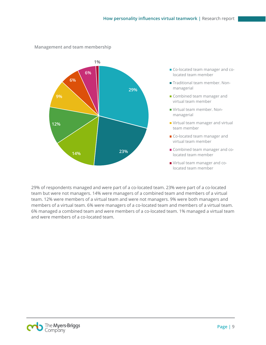

#### **Management and team membership**

29% of respondents managed and were part of a co-located team. 23% were part of a co-located team but were not managers. 14% were managers of a combined team and members of a virtual team. 12% were members of a virtual team and were not managers. 9% were both managers and members of a virtual team. 6% were managers of a co-located team and members of a virtual team. 6% managed a combined team and were members of a co-located team. 1% managed a virtual team and were members of a co-located team.

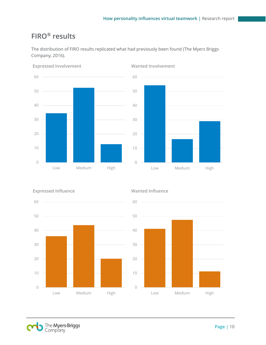# <span id="page-9-0"></span>**FIRO® results**

The distribution of FIRO results replicated what had previously been found (The Myers Briggs Company, 2016).





**Expressed Involvement**

### **Wanted Involvement**



#### **Wanted Influence**



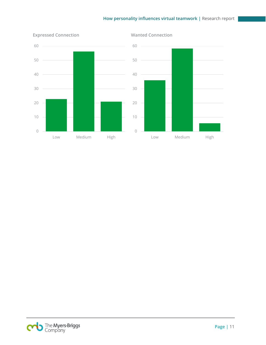### **How personality influences virtual teamwork |** Research report



**Expressed Connection**

**Wanted Connection**

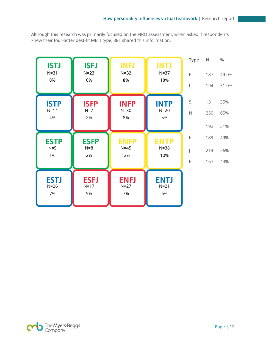Although this research was primarily focused on the FIRO assessment, when asked if respondents knew their four-letter best-fit MBTI type, 381 shared this information.



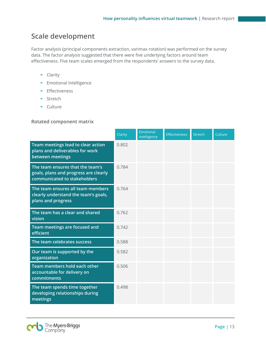# <span id="page-12-0"></span>**Scale development**

Factor analysis (principal components extraction, varimax rotation) was performed on the survey data. The factor analysis suggested that there were five underlying factors around team effectiveness. Five team scales emerged from the respondents' answers to the survey data.

- Clarity
- Emotional Intelligence
- **-** Effectiveness
- Stretch
- Culture

#### **Rotated component matrix**

|                                                                                                           | Clarity | Emotional<br>Intelligence | <b>Effectiveness</b> | <b>Stretch</b> | Culture |
|-----------------------------------------------------------------------------------------------------------|---------|---------------------------|----------------------|----------------|---------|
| Team meetings lead to clear action<br>plans and deliverables for work<br>between meetings                 | 0.802   |                           |                      |                |         |
| The team ensures that the team's<br>goals, plans and progress are clearly<br>communicated to stakeholders | 0.784   |                           |                      |                |         |
| The team ensures all team members<br>clearly understand the team's goals,<br>plans and progress           | 0.764   |                           |                      |                |         |
| The team has a clear and shared<br>vision                                                                 | 0.762   |                           |                      |                |         |
| Team meetings are focused and<br>efficient                                                                | 0.742   |                           |                      |                |         |
| The team celebrates success                                                                               | 0.588   |                           |                      |                |         |
| Our team is supported by the<br>organization                                                              | 0.582   |                           |                      |                |         |
| Team members hold each other<br>accountable for delivery on<br>commitments                                | 0.506   |                           |                      |                |         |
| The team spends time together<br>developing relationships during<br>meetings                              | 0.498   |                           |                      |                |         |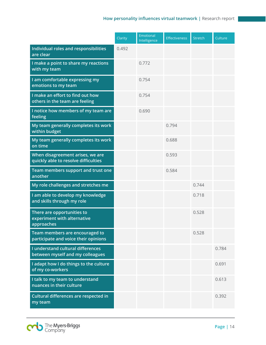|                                                                          | Clarity | Emotional<br>Intelligence | <b>Effectiveness</b> | <b>Stretch</b> | Culture |
|--------------------------------------------------------------------------|---------|---------------------------|----------------------|----------------|---------|
| Individual roles and responsibilities<br>are clear                       | 0.492   |                           |                      |                |         |
| I make a point to share my reactions<br>with my team                     |         | 0.772                     |                      |                |         |
| I am comfortable expressing my<br>emotions to my team                    |         | 0.754                     |                      |                |         |
| I make an effort to find out how<br>others in the team are feeling       |         | 0.754                     |                      |                |         |
| I notice how members of my team are<br>feeling                           |         | 0.690                     |                      |                |         |
| My team generally completes its work<br>within budget                    |         |                           | 0.794                |                |         |
| My team generally completes its work<br>on time                          |         |                           | 0.688                |                |         |
| When disagreement arises, we are<br>quickly able to resolve difficulties |         |                           | 0.593                |                |         |
| Team members support and trust one<br>another                            |         |                           | 0.584                |                |         |
| My role challenges and stretches me                                      |         |                           |                      | 0.744          |         |
| I am able to develop my knowledge<br>and skills through my role          |         |                           |                      | 0.718          |         |
| There are opportunities to<br>experiment with alternative<br>approaches  |         |                           |                      | 0.528          |         |
| Team members are encouraged to<br>participate and voice their opinions   |         |                           |                      | 0.528          |         |
| I understand cultural differences<br>between myself and my colleagues    |         |                           |                      |                | 0.784   |
| I adapt how I do things to the culture<br>of my co-workers               |         |                           |                      |                | 0.691   |
| I talk to my team to understand<br>nuances in their culture              |         |                           |                      |                | 0.613   |
| Cultural differences are respected in<br>my team                         |         |                           |                      |                | 0.392   |

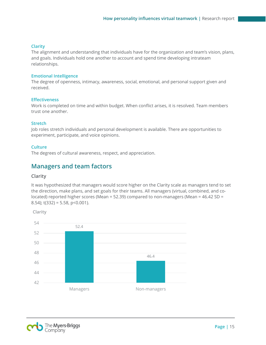#### **Clarity**

The alignment and understanding that individuals have for the organization and team's vision, plans, and goals. Individuals hold one another to account and spend time developing intrateam relationships.

#### **Emotional Intelligence**

The degree of openness, intimacy, awareness, social, emotional, and personal support given and received.

#### **Effectiveness**

Work is completed on time and within budget. When conflict arises, it is resolved. Team members trust one another.

#### **Stretch**

Job roles stretch individuals and personal development is available. There are opportunities to experiment, participate, and voice opinions.

#### **Culture**

The degrees of cultural awareness, respect, and appreciation.

### **Managers and team factors**

#### **Clarity**

It was hypothesized that managers would score higher on the Clarity scale as managers tend to set the direction, make plans, and set goals for their teams. All managers (virtual, combined, and colocated) reported higher scores (Mean = 52.39) compared to non-managers (Mean =  $46.42$  SD = 8.54);  $t(332) = 5.58$ ,  $p<0.001$ ).

**Clarity**



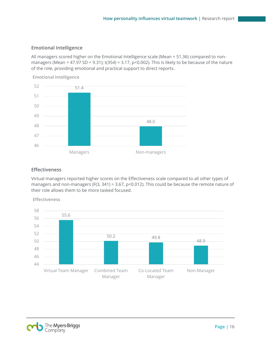#### **Emotional Intelligence**

All managers scored higher on the Emotional Intelligence scale (Mean = 51.36) compared to nonmanagers (Mean = 47.97 SD = 9.31);  $t(354) = 3.17$ ,  $p < 0.002$ ). This is likely to be because of the nature of the role, providing emotional and practical support to direct reports.



**Emotional Intelligence**

#### **Effectiveness**

Virtual managers reported higher scores on the Effectiveness scale compared to all other types of managers and non-managers (F(3, 341) = 3.67, p<0.012). This could be because the remote nature of their role allows them to be more tasked focused.

**Effectiveness**



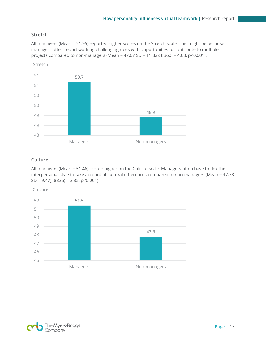### **Stretch**

All managers (Mean = 51.95) reported higher scores on the Stretch scale. This might be because managers often report working challenging roles with opportunities to contribute to multiple projects compared to non-managers (Mean = 47.07 SD = 11.82); t(360) = 4.68, p<0.001).



#### **Culture**

All managers (Mean = 51.46) scored higher on the Culture scale. Managers often have to flex their interpersonal style to take account of cultural differences compared to non-managers (Mean = 47.78 SD = 9.47);  $t(335) = 3.35$ ,  $p < 0.001$ ).

**Culture**



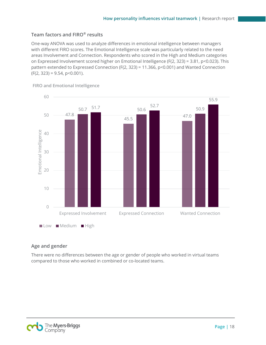### **Team factors and FIRO® results**

One-way ANOVA was used to analyze differences in emotional intelligence between managers with different FIRO scores. The Emotional Intelligence scale was particularly related to the need areas Involvement and Connection. Respondents who scored in the High and Medium categories on Expressed Involvement scored higher on Emotional Intelligence (F(2, 323) = 3.81, p<0.023). This pattern extended to Expressed Connection (F(2, 323) = 11.366, p<0.001) and Wanted Connection  $(F(2, 323) = 9.54, p < 0.001).$ 



**FIRO and Emotional Intelligence**

#### <span id="page-17-0"></span>**Age and gender**

There were no differences between the age or gender of people who worked in virtual teams compared to those who worked in combined or co-located teams.

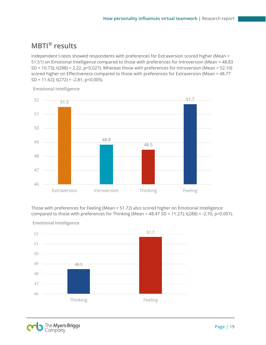# **MBTI® results**

Independent t-tests showed respondents with preferences for Extraversion scored higher (Mean = 51.51) on Emotional Intelligence compared to those with preferences for Introversion (Mean = 48.83 SD = 10.73); t(288) = 2.22, p<0.027). Whereas those with preferences for Introversion (Mean = 52.10) scored higher on Effectiveness compared to those with preferences for Extraversion (Mean = 48.77 SD = 11.62);  $t(272) = -2.81$ , p < 0.005).



**Emotional Intelligence**

Those with preferences for Feeling (Mean = 51.72) also scored higher on Emotional Intelligence compared to those with preferences for Thinking (Mean =  $48.47$  SD =  $11.27$ ); t(288) =  $-2.70$ , p $< 0.007$ ).



**Emotional Intelligence**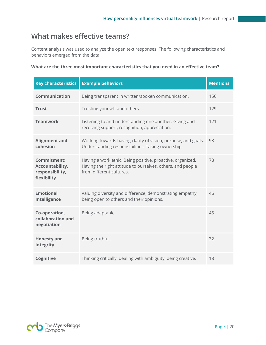# <span id="page-19-0"></span>**What makes effective teams?**

Content analysis was used to analyze the open text responses. The following characteristics and behaviors emerged from the data.

|  |  |  |  |  | What are the three most important characteristics that you need in an effective team? |  |
|--|--|--|--|--|---------------------------------------------------------------------------------------|--|
|  |  |  |  |  |                                                                                       |  |

| <b>Key characteristics</b>                                       | <b>Example behaviors</b>                                                                                                                             | <b>Mentions</b> |
|------------------------------------------------------------------|------------------------------------------------------------------------------------------------------------------------------------------------------|-----------------|
| <b>Communication</b>                                             | Being transparent in written/spoken communication.                                                                                                   | 156             |
| <b>Trust</b>                                                     | Trusting yourself and others.                                                                                                                        | 129             |
| <b>Teamwork</b>                                                  | Listening to and understanding one another. Giving and<br>receiving support, recognition, appreciation.                                              | 121             |
| <b>Alignment and</b><br>cohesion                                 | Working towards having clarity of vision, purpose, and goals.<br>Understanding responsibilities. Taking ownership.                                   | 98              |
| Commitment:<br>Accountability,<br>responsibility,<br>flexibility | Having a work ethic. Being positive, proactive, organized.<br>Having the right attitude to ourselves, others, and people<br>from different cultures. | 78              |
| <b>Emotional</b><br>Intelligence                                 | Valuing diversity and difference, demonstrating empathy,<br>being open to others and their opinions.                                                 | 46              |
| Co-operation,<br>collaboration and<br>negotiation                | Being adaptable.                                                                                                                                     | 45              |
| <b>Honesty and</b><br>integrity                                  | Being truthful.                                                                                                                                      | 32              |
| Cognitive                                                        | Thinking critically, dealing with ambiguity, being creative.                                                                                         | 18              |

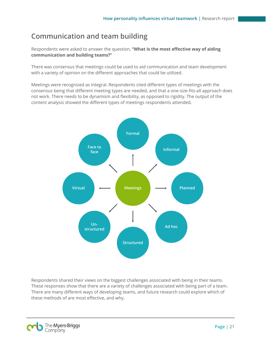# <span id="page-20-0"></span>**Communication and team building**

Respondents were asked to answer the question, **"What is the most effective way of aiding communication and building teams?"**

There was consensus that meetings could be used to aid communication and team development with a variety of opinion on the different approaches that could be utilized.

Meetings were recognized as integral. Respondents cited different types of meetings with the consensus being that different meeting types are needed, and that a one-size-fits-all approach does not work. There needs to be dynamism and flexibility, as opposed to rigidity. The output of the content analysis showed the different types of meetings respondents attended.



Respondents shared their views on the biggest challenges associated with being in their teams. These responses show that there are a variety of challenges associated with being part of a team. There are many different ways of developing teams, and future research could explore which of these methods of are most effective, and why.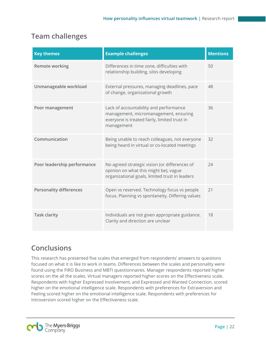# <span id="page-21-0"></span>**Team challenges**

| <b>Key themes</b>              | <b>Example challenges</b>                                                                                                                     | <b>Mentions</b> |
|--------------------------------|-----------------------------------------------------------------------------------------------------------------------------------------------|-----------------|
| <b>Remote working</b>          | Differences in time zone, difficulties with<br>relationship building, silos developing                                                        | 50              |
| Unmanageable workload          | External pressures, managing deadlines, pace<br>of change, organizational growth                                                              | 48              |
| Poor management                | Lack of accountability and performance<br>management, micromanagement, ensuring<br>everyone is treated fairly, limited trust in<br>management | 36              |
| Communication                  | Being unable to reach colleagues, not everyone<br>being heard in virtual or co-located meetings                                               | 32              |
| Poor leadership performance    | No agreed strategic vision (or differences of<br>opinion on what this might be), vague<br>organizational goals, limited trust in leaders      | 74              |
| <b>Personality differences</b> | Open vs reserved. Technology focus vs people<br>focus. Planning vs spontaneity. Differing values                                              | 21              |
| <b>Task clarity</b>            | Individuals are not given appropriate guidance.<br>Clarity and direction are unclear                                                          | 18              |

# <span id="page-21-1"></span>**Conclusions**

This research has presented five scales that emerged from respondents' answers to questions focused on what it is like to work in teams. Differences between the scales and personality were found using the FIRO Business and MBTI questionnaires. Manager respondents reported higher scores on the all the scales. Virtual managers reported higher scores on the Effectiveness scale. Respondents with higher Expressed Involvement, and Expressed and Wanted Connection, scored higher on the emotional intelligence scale. Respondents with preferences for Extraversion and Feeling scored higher on the emotional intelligence scale. Respondents with preferences for Introversion scored higher on the Effectiveness scale.